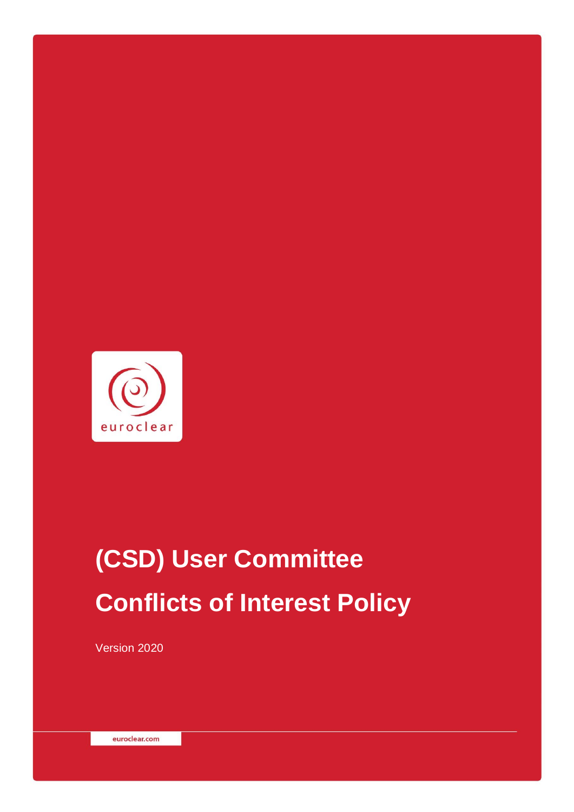

# **(CSD) User Committee Conflicts of Interest Policy**

Version 2020

euroclear.com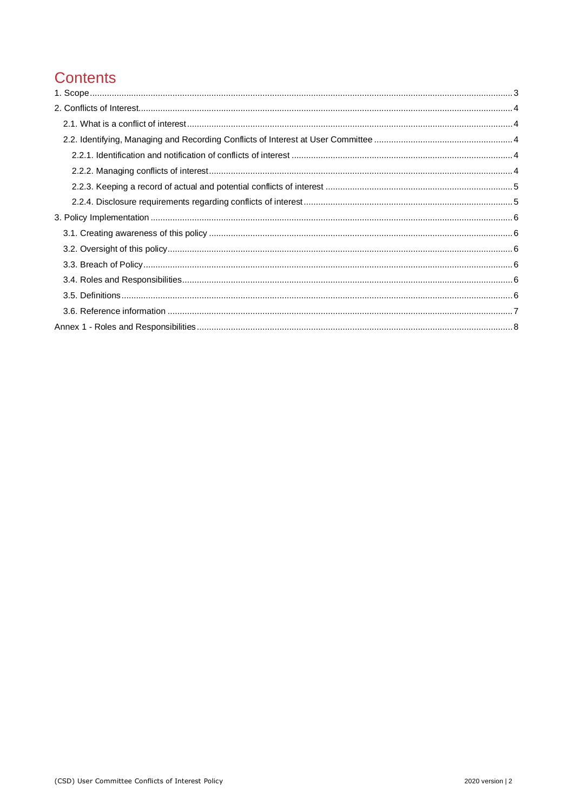# **Contents**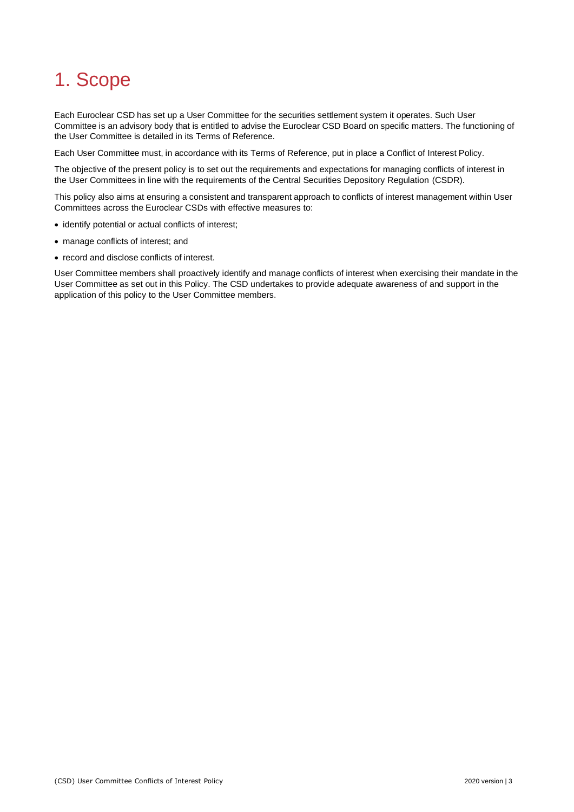# <span id="page-2-0"></span>1. Scope

Each Euroclear CSD has set up a User Committee for the securities settlement system it operates. Such User Committee is an advisory body that is entitled to advise the Euroclear CSD Board on specific matters. The functioning of the User Committee is detailed in its Terms of Reference.

Each User Committee must, in accordance with its Terms of Reference, put in place a Conflict of Interest Policy.

The objective of the present policy is to set out the requirements and expectations for managing conflicts of interest in the User Committees in line with the requirements of the Central Securities Depository Regulation (CSDR).

This policy also aims at ensuring a consistent and transparent approach to conflicts of interest management within User Committees across the Euroclear CSDs with effective measures to:

- identify potential or actual conflicts of interest;
- manage conflicts of interest; and
- record and disclose conflicts of interest.

User Committee members shall proactively identify and manage conflicts of interest when exercising their mandate in the User Committee as set out in this Policy. The CSD undertakes to provide adequate awareness of and support in the application of this policy to the User Committee members.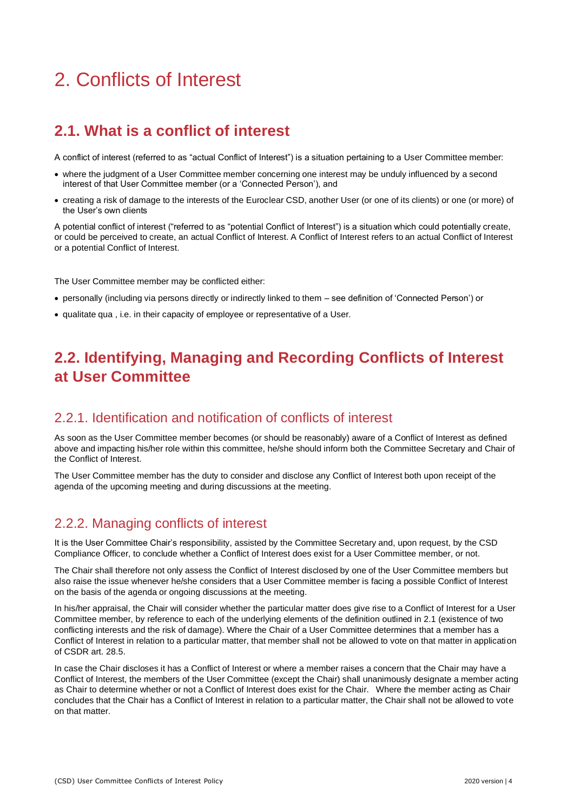# <span id="page-3-0"></span>2. Conflicts of Interest

# <span id="page-3-1"></span>**2.1. What is a conflict of interest**

A conflict of interest (referred to as "actual Conflict of Interest") is a situation pertaining to a User Committee member:

- where the judgment of a User Committee member concerning one interest may be unduly influenced by a second interest of that User Committee member (or a 'Connected Person'), and
- creating a risk of damage to the interests of the Euroclear CSD, another User (or one of its clients) or one (or more) of the User's own clients

A potential conflict of interest ("referred to as "potential Conflict of Interest") is a situation which could potentially create, or could be perceived to create, an actual Conflict of Interest. A Conflict of Interest refers to an actual Conflict of Interest or a potential Conflict of Interest.

The User Committee member may be conflicted either:

- personally (including via persons directly or indirectly linked to them see definition of 'Connected Person') or
- <span id="page-3-2"></span>• qualitate qua , i.e. in their capacity of employee or representative of a User.

# **2.2. Identifying, Managing and Recording Conflicts of Interest at User Committee**

#### <span id="page-3-3"></span>2.2.1. Identification and notification of conflicts of interest

As soon as the User Committee member becomes (or should be reasonably) aware of a Conflict of Interest as defined above and impacting his/her role within this committee, he/she should inform both the Committee Secretary and Chair of the Conflict of Interest.

The User Committee member has the duty to consider and disclose any Conflict of Interest both upon receipt of the agenda of the upcoming meeting and during discussions at the meeting.

#### <span id="page-3-4"></span>2.2.2. Managing conflicts of interest

It is the User Committee Chair's responsibility, assisted by the Committee Secretary and, upon request, by the CSD Compliance Officer, to conclude whether a Conflict of Interest does exist for a User Committee member, or not.

The Chair shall therefore not only assess the Conflict of Interest disclosed by one of the User Committee members but also raise the issue whenever he/she considers that a User Committee member is facing a possible Conflict of Interest on the basis of the agenda or ongoing discussions at the meeting.

In his/her appraisal, the Chair will consider whether the particular matter does give rise to a Conflict of Interest for a User Committee member, by reference to each of the underlying elements of the definition outlined in 2.1 (existence of two conflicting interests and the risk of damage). Where the Chair of a User Committee determines that a member has a Conflict of Interest in relation to a particular matter, that member shall not be allowed to vote on that matter in application of CSDR art. 28.5.

In case the Chair discloses it has a Conflict of Interest or where a member raises a concern that the Chair may have a Conflict of Interest, the members of the User Committee (except the Chair) shall unanimously designate a member acting as Chair to determine whether or not a Conflict of Interest does exist for the Chair. Where the member acting as Chair concludes that the Chair has a Conflict of Interest in relation to a particular matter, the Chair shall not be allowed to vote on that matter.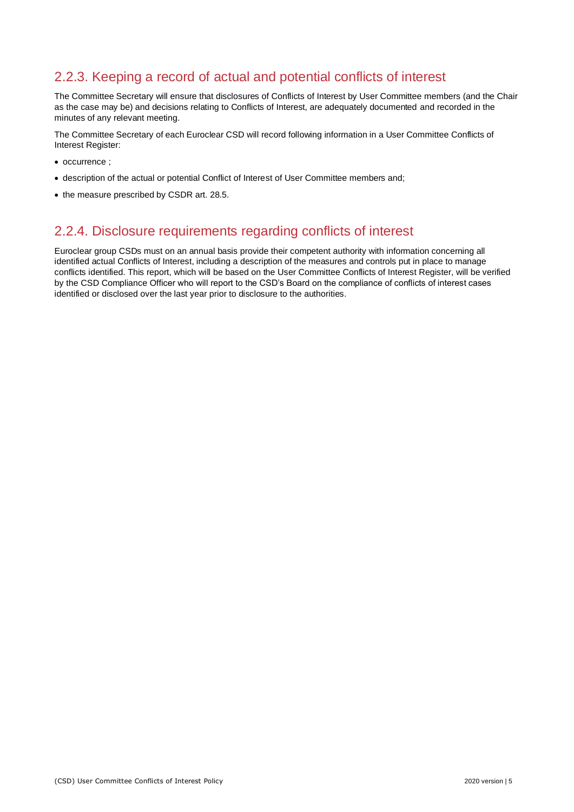#### <span id="page-4-0"></span>2.2.3. Keeping a record of actual and potential conflicts of interest

The Committee Secretary will ensure that disclosures of Conflicts of Interest by User Committee members (and the Chair as the case may be) and decisions relating to Conflicts of Interest, are adequately documented and recorded in the minutes of any relevant meeting.

The Committee Secretary of each Euroclear CSD will record following information in a User Committee Conflicts of Interest Register:

- occurrence ;
- description of the actual or potential Conflict of Interest of User Committee members and;
- <span id="page-4-1"></span>• the measure prescribed by CSDR art. 28.5.

#### 2.2.4. Disclosure requirements regarding conflicts of interest

Euroclear group CSDs must on an annual basis provide their competent authority with information concerning all identified actual Conflicts of Interest, including a description of the measures and controls put in place to manage conflicts identified. This report, which will be based on the User Committee Conflicts of Interest Register, will be verified by the CSD Compliance Officer who will report to the CSD's Board on the compliance of conflicts of interest cases identified or disclosed over the last year prior to disclosure to the authorities.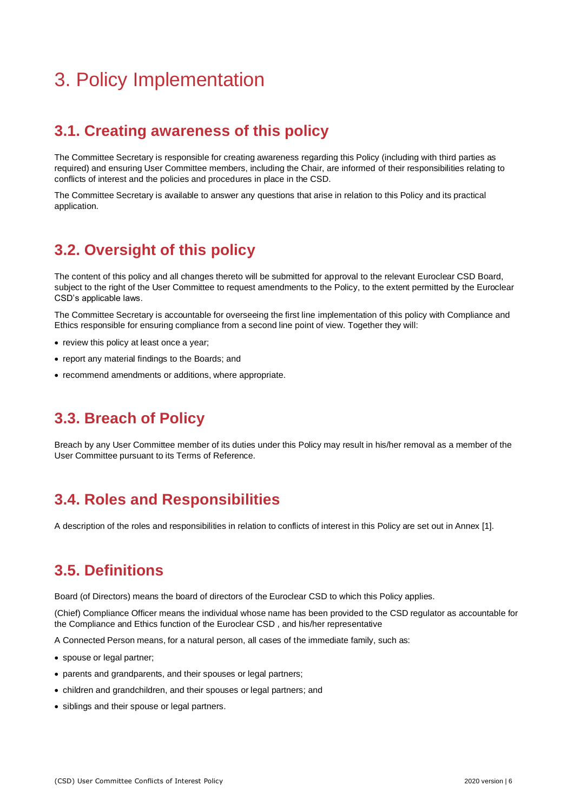# <span id="page-5-0"></span>3. Policy Implementation

### <span id="page-5-1"></span>**3.1. Creating awareness of this policy**

The Committee Secretary is responsible for creating awareness regarding this Policy (including with third parties as required) and ensuring User Committee members, including the Chair, are informed of their responsibilities relating to conflicts of interest and the policies and procedures in place in the CSD.

The Committee Secretary is available to answer any questions that arise in relation to this Policy and its practical application.

# <span id="page-5-2"></span>**3.2. Oversight of this policy**

The content of this policy and all changes thereto will be submitted for approval to the relevant Euroclear CSD Board, subject to the right of the User Committee to request amendments to the Policy, to the extent permitted by the Euroclear CSD's applicable laws.

The Committee Secretary is accountable for overseeing the first line implementation of this policy with Compliance and Ethics responsible for ensuring compliance from a second line point of view. Together they will:

- review this policy at least once a year;
- report any material findings to the Boards; and
- <span id="page-5-3"></span>• recommend amendments or additions, where appropriate.

# **3.3. Breach of Policy**

Breach by any User Committee member of its duties under this Policy may result in his/her removal as a member of the User Committee pursuant to its Terms of Reference.

### <span id="page-5-4"></span>**3.4. Roles and Responsibilities**

<span id="page-5-5"></span>A description of the roles and responsibilities in relation to conflicts of interest in this Policy are set out in Annex [1].

### **3.5. Definitions**

Board (of Directors) means the board of directors of the Euroclear CSD to which this Policy applies.

(Chief) Compliance Officer means the individual whose name has been provided to the CSD regulator as accountable for the Compliance and Ethics function of the Euroclear CSD , and his/her representative

A Connected Person means, for a natural person, all cases of the immediate family, such as:

- spouse or legal partner;
- parents and grandparents, and their spouses or legal partners;
- children and grandchildren, and their spouses or legal partners; and
- siblings and their spouse or legal partners.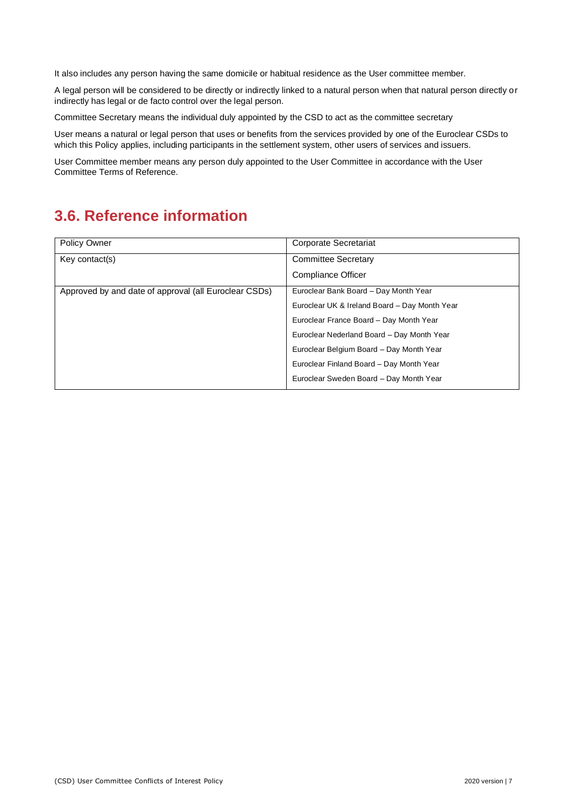It also includes any person having the same domicile or habitual residence as the User committee member.

A legal person will be considered to be directly or indirectly linked to a natural person when that natural person directly or indirectly has legal or de facto control over the legal person.

Committee Secretary means the individual duly appointed by the CSD to act as the committee secretary

User means a natural or legal person that uses or benefits from the services provided by one of the Euroclear CSDs to which this Policy applies, including participants in the settlement system, other users of services and issuers.

User Committee member means any person duly appointed to the User Committee in accordance with the User Committee Terms of Reference.

### <span id="page-6-0"></span>**3.6. Reference information**

| Policy Owner                                          | Corporate Secretariat                         |
|-------------------------------------------------------|-----------------------------------------------|
| Key contact(s)                                        | <b>Committee Secretary</b>                    |
|                                                       | Compliance Officer                            |
| Approved by and date of approval (all Euroclear CSDs) | Euroclear Bank Board - Day Month Year         |
|                                                       | Euroclear UK & Ireland Board - Day Month Year |
|                                                       | Euroclear France Board - Day Month Year       |
|                                                       | Euroclear Nederland Board - Day Month Year    |
|                                                       | Euroclear Belgium Board - Day Month Year      |
|                                                       | Euroclear Finland Board - Day Month Year      |
|                                                       | Euroclear Sweden Board - Day Month Year       |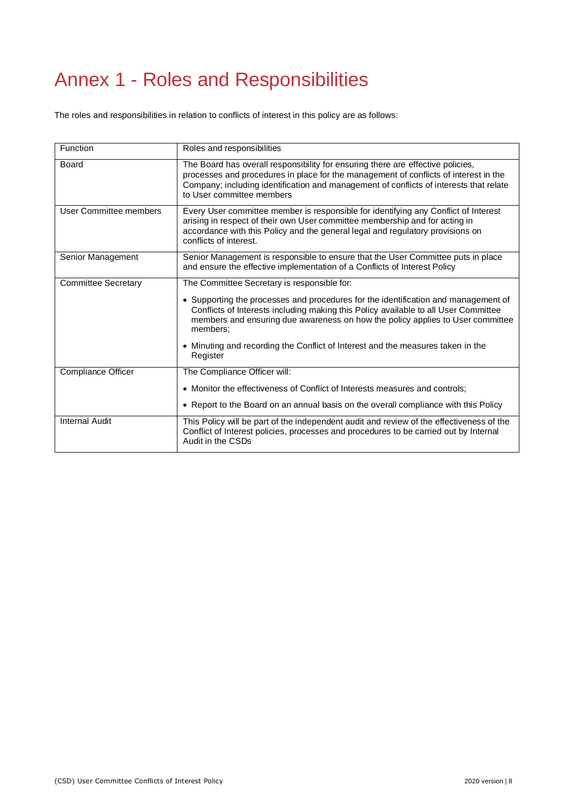# <span id="page-7-0"></span>Annex 1 - Roles and Responsibilities

The roles and responsibilities in relation to conflicts of interest in this policy are as follows:

| Function                   | Roles and responsibilities                                                                                                                                                                                                                                                                     |
|----------------------------|------------------------------------------------------------------------------------------------------------------------------------------------------------------------------------------------------------------------------------------------------------------------------------------------|
| Board                      | The Board has overall responsibility for ensuring there are effective policies,<br>processes and procedures in place for the management of conflicts of interest in the<br>Company; including identification and management of conflicts of interests that relate<br>to User committee members |
| User Committee members     | Every User committee member is responsible for identifying any Conflict of Interest<br>arising in respect of their own User committee membership and for acting in<br>accordance with this Policy and the general legal and regulatory provisions on<br>conflicts of interest.                 |
| Senior Management          | Senior Management is responsible to ensure that the User Committee puts in place<br>and ensure the effective implementation of a Conflicts of Interest Policy                                                                                                                                  |
| <b>Committee Secretary</b> | The Committee Secretary is responsible for:                                                                                                                                                                                                                                                    |
|                            | • Supporting the processes and procedures for the identification and management of<br>Conflicts of Interests including making this Policy available to all User Committee<br>members and ensuring due awareness on how the policy applies to User committee<br>members:                        |
|                            | • Minuting and recording the Conflict of Interest and the measures taken in the<br>Register                                                                                                                                                                                                    |
| Compliance Officer         | The Compliance Officer will:                                                                                                                                                                                                                                                                   |
|                            | • Monitor the effectiveness of Conflict of Interests measures and controls;                                                                                                                                                                                                                    |
|                            | • Report to the Board on an annual basis on the overall compliance with this Policy                                                                                                                                                                                                            |
| <b>Internal Audit</b>      | This Policy will be part of the independent audit and review of the effectiveness of the<br>Conflict of Interest policies, processes and procedures to be carried out by Internal<br>Audit in the CSDs                                                                                         |